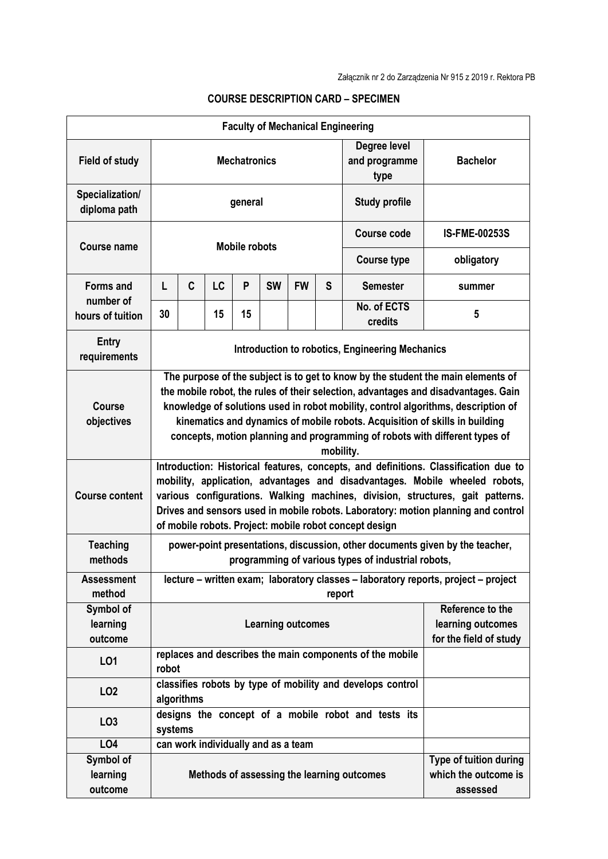| <b>Faculty of Mechanical Engineering</b>          |                                                                                                                                                                                                                                                                                                                                                                                                                                        |                                                                |                                     |    |           |           |   |                                                            |                                                            |  |
|---------------------------------------------------|----------------------------------------------------------------------------------------------------------------------------------------------------------------------------------------------------------------------------------------------------------------------------------------------------------------------------------------------------------------------------------------------------------------------------------------|----------------------------------------------------------------|-------------------------------------|----|-----------|-----------|---|------------------------------------------------------------|------------------------------------------------------------|--|
| <b>Field of study</b>                             | <b>Mechatronics</b>                                                                                                                                                                                                                                                                                                                                                                                                                    |                                                                |                                     |    |           |           |   | Degree level<br>and programme<br>type                      | <b>Bachelor</b>                                            |  |
| Specialization/<br>diploma path                   | general                                                                                                                                                                                                                                                                                                                                                                                                                                |                                                                |                                     |    |           |           |   | <b>Study profile</b>                                       |                                                            |  |
| Course name                                       | <b>Mobile robots</b>                                                                                                                                                                                                                                                                                                                                                                                                                   |                                                                |                                     |    |           |           |   | <b>Course code</b>                                         | <b>IS-FME-00253S</b>                                       |  |
|                                                   |                                                                                                                                                                                                                                                                                                                                                                                                                                        |                                                                |                                     |    |           |           |   | <b>Course type</b>                                         | obligatory                                                 |  |
| <b>Forms and</b><br>number of<br>hours of tuition | L                                                                                                                                                                                                                                                                                                                                                                                                                                      | C                                                              | <b>LC</b>                           | P  | <b>SW</b> | <b>FW</b> | S | <b>Semester</b>                                            | summer                                                     |  |
|                                                   | 30                                                                                                                                                                                                                                                                                                                                                                                                                                     |                                                                | 15                                  | 15 |           |           |   | No. of ECTS<br>credits                                     | 5                                                          |  |
| <b>Entry</b><br>requirements                      | Introduction to robotics, Engineering Mechanics                                                                                                                                                                                                                                                                                                                                                                                        |                                                                |                                     |    |           |           |   |                                                            |                                                            |  |
| <b>Course</b><br>objectives                       | The purpose of the subject is to get to know by the student the main elements of<br>the mobile robot, the rules of their selection, advantages and disadvantages. Gain<br>knowledge of solutions used in robot mobility, control algorithms, description of<br>kinematics and dynamics of mobile robots. Acquisition of skills in building<br>concepts, motion planning and programming of robots with different types of<br>mobility. |                                                                |                                     |    |           |           |   |                                                            |                                                            |  |
| <b>Course content</b>                             | Introduction: Historical features, concepts, and definitions. Classification due to<br>mobility, application, advantages and disadvantages. Mobile wheeled robots,<br>various configurations. Walking machines, division, structures, gait patterns.<br>Drives and sensors used in mobile robots. Laboratory: motion planning and control<br>of mobile robots. Project: mobile robot concept design                                    |                                                                |                                     |    |           |           |   |                                                            |                                                            |  |
| <b>Teaching</b><br>methods                        | power-point presentations, discussion, other documents given by the teacher,<br>programming of various types of industrial robots,                                                                                                                                                                                                                                                                                                     |                                                                |                                     |    |           |           |   |                                                            |                                                            |  |
| <b>Assessment</b><br>method                       | lecture - written exam; laboratory classes - laboratory reports, project - project<br>report                                                                                                                                                                                                                                                                                                                                           |                                                                |                                     |    |           |           |   |                                                            |                                                            |  |
| Symbol of<br>learning<br>outcome                  | Reference to the<br>learning outcomes<br><b>Learning outcomes</b><br>for the field of study                                                                                                                                                                                                                                                                                                                                            |                                                                |                                     |    |           |           |   |                                                            |                                                            |  |
| LO1                                               | robot                                                                                                                                                                                                                                                                                                                                                                                                                                  |                                                                |                                     |    |           |           |   | replaces and describes the main components of the mobile   |                                                            |  |
| LO <sub>2</sub>                                   |                                                                                                                                                                                                                                                                                                                                                                                                                                        | algorithms                                                     |                                     |    |           |           |   | classifies robots by type of mobility and develops control |                                                            |  |
| LO <sub>3</sub>                                   |                                                                                                                                                                                                                                                                                                                                                                                                                                        | designs the concept of a mobile robot and tests its<br>systems |                                     |    |           |           |   |                                                            |                                                            |  |
| LO4                                               |                                                                                                                                                                                                                                                                                                                                                                                                                                        |                                                                | can work individually and as a team |    |           |           |   |                                                            |                                                            |  |
| Symbol of<br>learning<br>outcome                  |                                                                                                                                                                                                                                                                                                                                                                                                                                        |                                                                |                                     |    |           |           |   | Methods of assessing the learning outcomes                 | Type of tuition during<br>which the outcome is<br>assessed |  |

## **COURSE DESCRIPTION CARD – SPECIMEN**